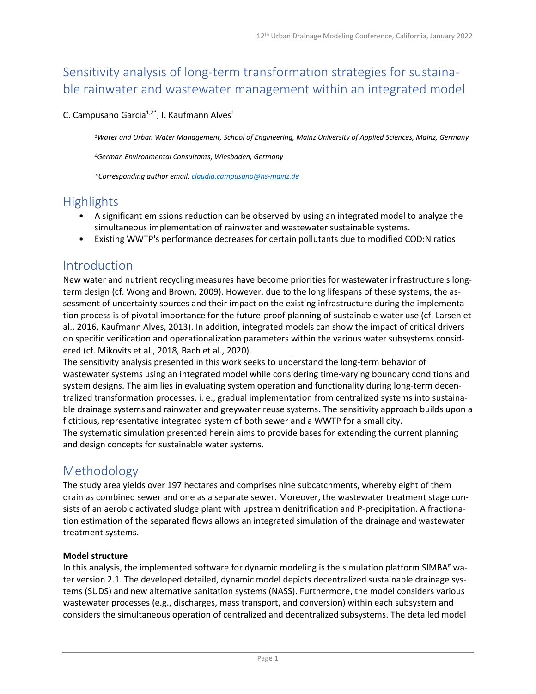# Sensitivity analysis of long-term transformation strategies for sustainable rainwater and wastewater management within an integrated model

C. Campusano Garcia<sup>1,2\*</sup>, I. Kaufmann Alves<sup>1</sup>

*<sup>1</sup>Water and Urban Water Management, School of Engineering, Mainz University of Applied Sciences, Mainz, Germany*

*<sup>2</sup>German Environmental Consultants, Wiesbaden, Germany*

*\*Corresponding author email: [claudia.campusano@hs-mainz.de](mailto:claudia.campusano@hs-mainz.de)*

### Highlights

- A significant emissions reduction can be observed by using an integrated model to analyze the simultaneous implementation of rainwater and wastewater sustainable systems.
- Existing WWTP's performance decreases for certain pollutants due to modified COD:N ratios

# Introduction

New water and nutrient recycling measures have become priorities for wastewater infrastructure's longterm design (cf. Wong and Brown, 2009). However, due to the long lifespans of these systems, the assessment of uncertainty sources and their impact on the existing infrastructure during the implementation process is of pivotal importance for the future-proof planning of sustainable water use (cf. Larsen et al., 2016, Kaufmann Alves, 2013). In addition, integrated models can show the impact of critical drivers on specific verification and operationalization parameters within the various water subsystems considered (cf. Mikovits et al., 2018, Bach et al., 2020).

The sensitivity analysis presented in this work seeks to understand the long-term behavior of wastewater systems using an integrated model while considering time-varying boundary conditions and system designs. The aim lies in evaluating system operation and functionality during long-term decentralized transformation processes, i. e., gradual implementation from centralized systems into sustainable drainage systems and rainwater and greywater reuse systems. The sensitivity approach builds upon a fictitious, representative integrated system of both sewer and a WWTP for a small city. The systematic simulation presented herein aims to provide bases for extending the current planning and design concepts for sustainable water systems.

# Methodology

The study area yields over 197 hectares and comprises nine subcatchments, whereby eight of them drain as combined sewer and one as a separate sewer. Moreover, the wastewater treatment stage consists of an aerobic activated sludge plant with upstream denitrification and P-precipitation. A fractionation estimation of the separated flows allows an integrated simulation of the drainage and wastewater treatment systems.

#### **Model structure**

In this analysis, the implemented software for dynamic modeling is the simulation platform SIMBA# water version 2.1. The developed detailed, dynamic model depicts decentralized sustainable drainage systems (SUDS) and new alternative sanitation systems (NASS). Furthermore, the model considers various wastewater processes (e.g., discharges, mass transport, and conversion) within each subsystem and considers the simultaneous operation of centralized and decentralized subsystems. The detailed model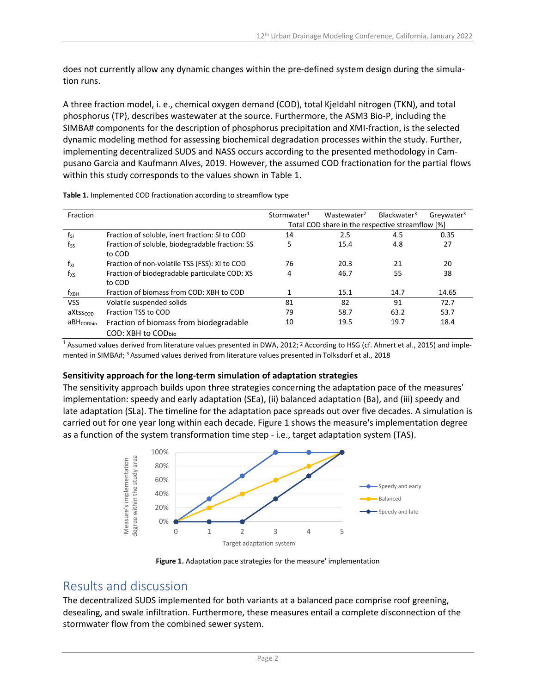does not currently allow any dynamic changes within the pre-defined system design during the simulation runs.

A three fraction model, i. e., chemical oxygen demand (COD), total Kjeldahl nitrogen (TKN), and total phosphorus (TP), describes wastewater at the source. Furthermore, the ASM3 Bio-P, including the SIMBA# components for the description of phosphorus precipitation and XMI-fraction, is the selected dynamic modeling method for assessing biochemical degradation processes within the study. Further, implementing decentralized SUDS and NASS occurs according to the presented methodology in Campusano Garcia and Kaufmann Alves, 2019. However, the assumed COD fractionation for the partial flows within this study corresponds to the values shown in Table 1.

| Fraction              |                                                              | Stormwater <sup>1</sup>                          | Wastewater <sup>2</sup> | Blackwater <sup>3</sup> | Greywater <sup>3</sup> |
|-----------------------|--------------------------------------------------------------|--------------------------------------------------|-------------------------|-------------------------|------------------------|
|                       |                                                              | Total COD share in the respective streamflow [%] |                         |                         |                        |
| $f_{SI}$              | Fraction of soluble, inert fraction: SI to COD               | 14                                               | 2.5                     | 4.5                     | 0.35                   |
| $f_{SS}$              | Fraction of soluble, biodegradable fraction: SS<br>to COD    | 5                                                | 15.4                    | 4.8                     | 27                     |
| $f_{XI}$              | Fraction of non-volatile TSS (FSS): XI to COD                | 76                                               | 20.3                    | 21                      | 20                     |
| $f_{\text{XS}}$       | Fraction of biodegradable particulate COD: XS<br>to COD      | 4                                                | 46.7                    | 55                      | 38                     |
| $f_{XBH}$             | Fraction of biomass from COD: XBH to COD                     |                                                  | 15.1                    | 14.7                    | 14.65                  |
| <b>VSS</b>            | Volatile suspended solids                                    | 81                                               | 82                      | 91                      | 72.7                   |
| aXtsscop              | Fraction TSS to COD                                          | 79                                               | 58.7                    | 63.2                    | 53.7                   |
| aBH <sub>CODbio</sub> | Fraction of biomass from biodegradable<br>COD: XBH to CODbio | 10                                               | 19.5                    | 19.7                    | 18.4                   |

**Table 1.** Implemented COD fractionation according to streamflow type

<sup>1</sup> Assumed values derived from literature values presented in DWA, 2012; <sup>2</sup> According to HSG (cf. Ahnert et al., 2015) and implemented in SIMBA#; <sup>3</sup> Assumed values derived from literature values presented in Tolksdorf et al., 2018

#### **Sensitivity approach for the long-term simulation of adaptation strategies**

The sensitivity approach builds upon three strategies concerning the adaptation pace of the measures' implementation: speedy and early adaptation (SEa), (ii) balanced adaptation (Ba), and (iii) speedy and late adaptation (SLa). The timeline for the adaptation pace spreads out over five decades. A simulation is carried out for one year long within each decade. Figure 1 shows the measure's implementation degree as a function of the system transformation time step - i.e., target adaptation system (TAS).



**Figure 1.** Adaptation pace strategies for the measure' implementation

# Results and discussion

The decentralized SUDS implemented for both variants at a balanced pace comprise roof greening, desealing, and swale infiltration. Furthermore, these measures entail a complete disconnection of the stormwater flow from the combined sewer system.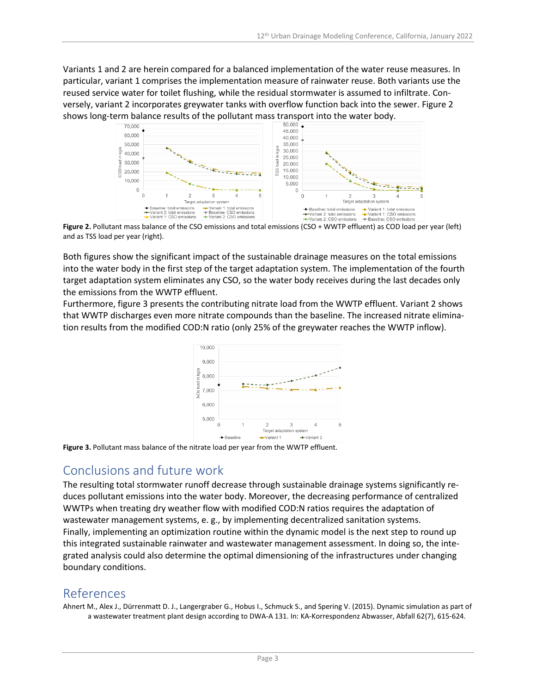Variants 1 and 2 are herein compared for a balanced implementation of the water reuse measures. In particular, variant 1 comprises the implementation measure of rainwater reuse. Both variants use the reused service water for toilet flushing, while the residual stormwater is assumed to infiltrate. Conversely, variant 2 incorporates greywater tanks with overflow function back into the sewer. Figure 2 shows long-term balance results of the pollutant mass transport into the water body.<br>  $\frac{50,000}{50,000}$ .



**Figure 2.** Pollutant mass balance of the CSO emissions and total emissions (CSO + WWTP effluent) as COD load per year (left) and as TSS load per year (right).

Both figures show the significant impact of the sustainable drainage measures on the total emissions into the water body in the first step of the target adaptation system. The implementation of the fourth target adaptation system eliminates any CSO, so the water body receives during the last decades only the emissions from the WWTP effluent.

Furthermore, figure 3 presents the contributing nitrate load from the WWTP effluent. Variant 2 shows that WWTP discharges even more nitrate compounds than the baseline. The increased nitrate elimination results from the modified COD:N ratio (only 25% of the greywater reaches the WWTP inflow).



**Figure 3.** Pollutant mass balance of the nitrate load per year from the WWTP effluent.

# Conclusions and future work

The resulting total stormwater runoff decrease through sustainable drainage systems significantly reduces pollutant emissions into the water body. Moreover, the decreasing performance of centralized WWTPs when treating dry weather flow with modified COD:N ratios requires the adaptation of wastewater management systems, e. g., by implementing decentralized sanitation systems. Finally, implementing an optimization routine within the dynamic model is the next step to round up this integrated sustainable rainwater and wastewater management assessment. In doing so, the integrated analysis could also determine the optimal dimensioning of the infrastructures under changing boundary conditions.

# References

Ahnert M., Alex J., Dürrenmatt D. J., Langergraber G., Hobus I., Schmuck S., and Spering V. (2015). Dynamic simulation as part of a wastewater treatment plant design according to DWA-A 131. In: KA-Korrespondenz Abwasser, Abfall 62(7), 615-624.